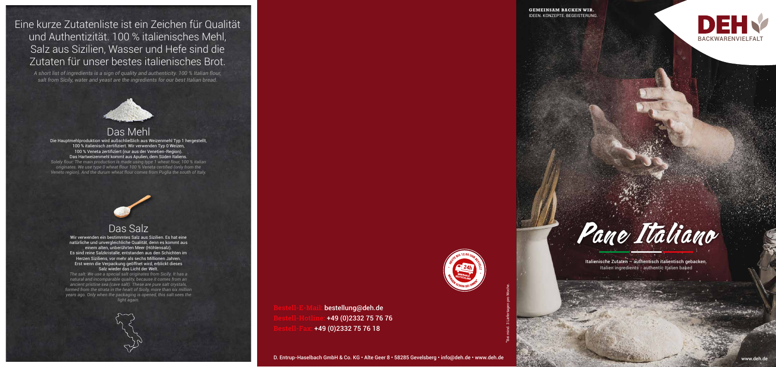





bestellung@deh.de **Bestell-Hotline:** +49 (0)2332 75 76 76 **Bestell-Fax:** +49 (0)2332 75 76 18

\*Bei mind. 3 Liefertagen pro Woche.



Italienische Zutaten – authentisch italientisch gebacken. Italien ingredients - authentic Italien baked

## Das Mehl

Die Hauptmehlproduktion wird außschließlich aus Weizenmehl Typ 1 hergestellt, 100 % italienisch zertifiziert. Wir verwenden Typ 0 Weizen, 100 % Veneta zertifiziert (nur aus der Venetien-Region). Das Hartweizenmehl kommt aus Apulien, dem Süden Italiens. *Solely flour: The main production is made using type 1 wheat flour, 100 % italian originates. We use type 0 wheat flour 100 % Veneta certified (only from the* 

*Veneto region). And the durum wheat flour comes from Puglia the south of Italy.*



## Das Salz

Wir verwenden ein bestimmtes Salz aus Sizilien. Es hat eine natürliche und unvergleichliche Qualität, denn es kommt aus einem alten, unberührten Meer (Höhlensalz). Es sind reine Salzkristalle, entstanden aus den Schichten im Herzen Siziliens, vor mehr als sechs Millionen Jahren. Erst wenn die Verpackung geöffnet wird, erblickt dieses Salz wieder das Licht der Welt.

*The salt: We use a special salt originates from Sicily. It has a natural and incomparable quality, because it comes from an ancient pristine sea (cave salt). These are pure salt crystals, formed from the strata in the heart of Sicily, more than six million years ago. Only when the packaging is opened, this salt sees the light again.*

Eine kurze Zutatenliste ist ein Zeichen für Qualität und Authentizität. 100 % italienisches Mehl, Salz aus Sizilien, Wasser und Hefe sind die Zutaten für unser bestes italienisches Brot.

*A short list of ingredients is a sign of quality and authenticity. 100 % Italian flour, salt from Sicily, water and yeast are the ingredients for our best Italian bread.*